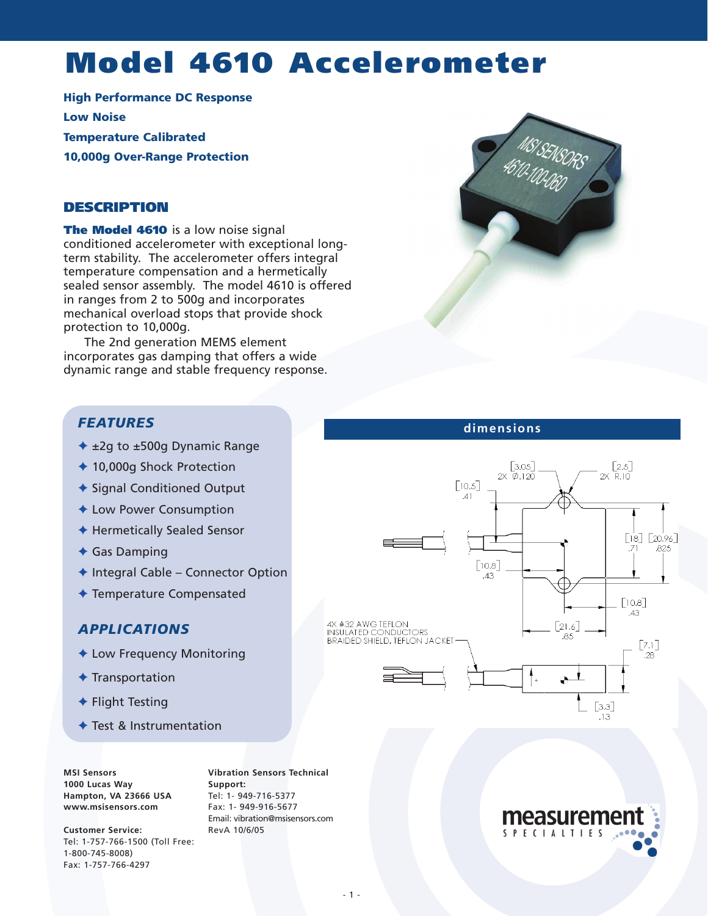# **Model 4610 Accelerometer**

**High Performance DC Response Low Noise Temperature Calibrated 10,000g Over-Range Protection**

#### **DESCRIPTION**

**The Model 4610** is a low noise signal conditioned accelerometer with exceptional longterm stability. The accelerometer offers integral temperature compensation and a hermetically sealed sensor assembly. The model 4610 is offered in ranges from 2 to 500g and incorporates mechanical overload stops that provide shock protection to 10,000g.

The 2nd generation MEMS element incorporates gas damping that offers a wide dynamic range and stable frequency response.

### *FEATURES*

- ✦ ±2g to ±500g Dynamic Range
- ✦ 10,000g Shock Protection
- ◆ Signal Conditioned Output
- ✦ Low Power Consumption
- ✦ Hermetically Sealed Sensor
- ✦ Gas Damping
- ✦ Integral Cable Connector Option
- ✦ Temperature Compensated

#### *APPLICATIONS*

- ✦ Low Frequency Monitoring
- ✦ Transportation
- ✦ Flight Testing
- ✦ Test & Instrumentation

**MSI Sensors 1000 Lucas Way Hampton, VA 23666 USA www.msisensors.com**

**Customer Service:** Tel: 1-757-766-1500 (Toll Free: 1-800-745-8008) Fax: 1-757-766-4297

**Vibration Sensors Technical Support:** Tel: 1- 949-716-5377 Fax: 1- 949-916-5677 Email: vibration@msisensors.com RevA 10/6/05



#### **dimensions**